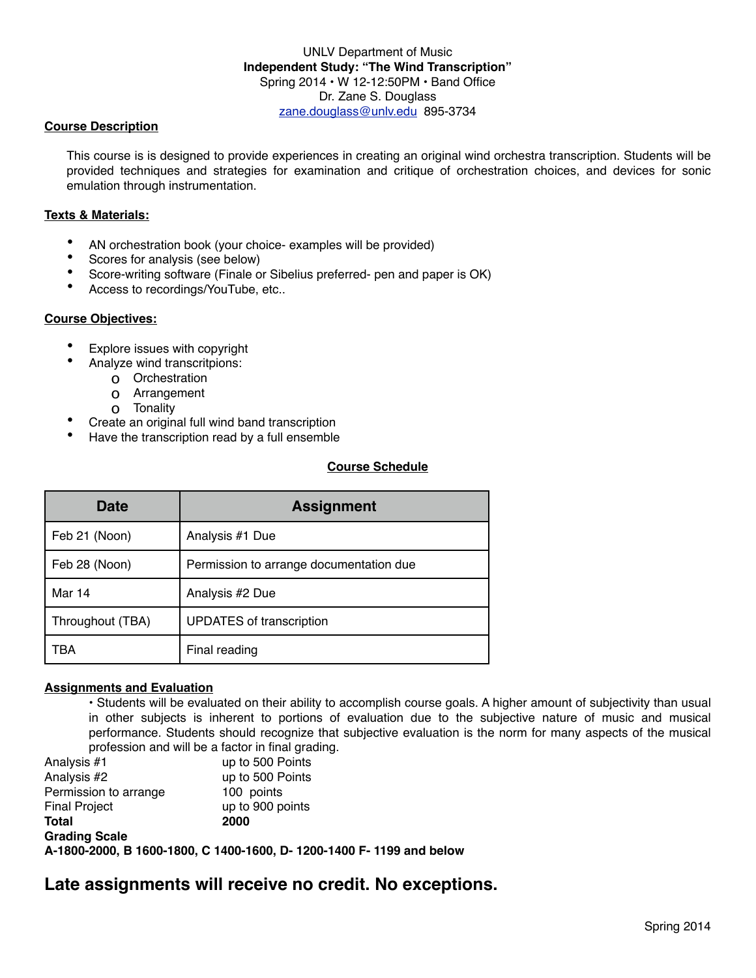### UNLV Department of Music **Independent Study: "The Wind Transcription"** Spring 2014 • W 12-12:50PM • Band Office Dr. Zane S. Douglass [zane.douglass@unlv.edu](mailto:zane.douglass@unlv.edu) 895-3734

### **Course Description**

This course is is designed to provide experiences in creating an original wind orchestra transcription. Students will be provided techniques and strategies for examination and critique of orchestration choices, and devices for sonic emulation through instrumentation.

#### **Texts & Materials:**

- AN orchestration book (your choice- examples will be provided)
- Scores for analysis (see below)
- Score-writing software (Finale or Sibelius preferred- pen and paper is OK)
- Access to recordings/YouTube, etc..

### **Course Objectives:**

- Explore issues with copyright
	- Analyze wind transcritpions:
		- o Orchestration
		- o Arrangement
		- o Tonality
- Create an original full wind band transcription
- Have the transcription read by a full ensemble

## **Course Schedule**

| Date             | <b>Assignment</b>                       |
|------------------|-----------------------------------------|
| Feb 21 (Noon)    | Analysis #1 Due                         |
| Feb 28 (Noon)    | Permission to arrange documentation due |
| Mar 14           | Analysis #2 Due                         |
| Throughout (TBA) | <b>UPDATES of transcription</b>         |
| тва              | Final reading                           |

### **Assignments and Evaluation**

• Students will be evaluated on their ability to accomplish course goals. A higher amount of subjectivity than usual in other subjects is inherent to portions of evaluation due to the subjective nature of music and musical performance. Students should recognize that subjective evaluation is the norm for many aspects of the musical profession and will be a factor in final grading.

Analysis #1 up to 500 Points Analysis #2 up to 500 Points Permission to arrange 100 points Final Project up to 900 points **Total 2000 Grading Scale A-1800-2000, B 1600-1800, C 1400-1600, D- 1200-1400 F- 1199 and below**

# **Late assignments will receive no credit. No exceptions.**